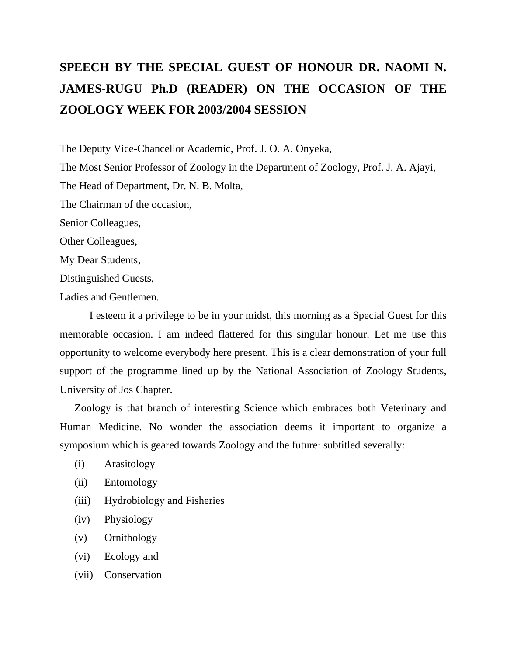## **SPEECH BY THE SPECIAL GUEST OF HONOUR DR. NAOMI N. JAMES-RUGU Ph.D (READER) ON THE OCCASION OF THE ZOOLOGY WEEK FOR 2003/2004 SESSION**

The Deputy Vice-Chancellor Academic, Prof. J. O. A. Onyeka,

The Most Senior Professor of Zoology in the Department of Zoology, Prof. J. A. Ajayi, The Head of Department, Dr. N. B. Molta,

The Chairman of the occasion,

Senior Colleagues,

Other Colleagues,

My Dear Students,

Distinguished Guests,

Ladies and Gentlemen.

I esteem it a privilege to be in your midst, this morning as a Special Guest for this memorable occasion. I am indeed flattered for this singular honour. Let me use this opportunity to welcome everybody here present. This is a clear demonstration of your full support of the programme lined up by the National Association of Zoology Students, University of Jos Chapter.

Zoology is that branch of interesting Science which embraces both Veterinary and Human Medicine. No wonder the association deems it important to organize a symposium which is geared towards Zoology and the future: subtitled severally:

- (i) Arasitology
- (ii) Entomology
- (iii) Hydrobiology and Fisheries
- (iv) Physiology
- (v) Ornithology
- (vi) Ecology and
- (vii) Conservation